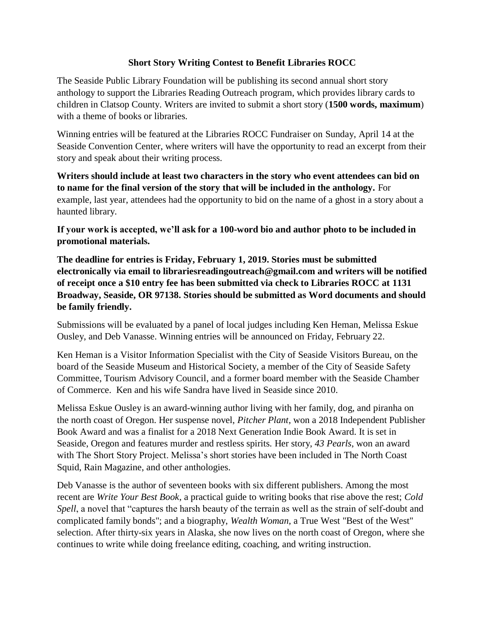## **Short Story Writing Contest to Benefit Libraries ROCC**

The Seaside Public Library Foundation will be publishing its second annual short story anthology to support the Libraries Reading Outreach program, which provides library cards to children in Clatsop County. Writers are invited to submit a short story (**1500 words, maximum**) with a theme of books or libraries.

Winning entries will be featured at the Libraries ROCC Fundraiser on Sunday, April 14 at the Seaside Convention Center, where writers will have the opportunity to read an excerpt from their story and speak about their writing process.

**Writers should include at least two characters in the story who event attendees can bid on to name for the final version of the story that will be included in the anthology.** For example, last year, attendees had the opportunity to bid on the name of a ghost in a story about a haunted library.

**If your work is accepted, we'll ask for a 100-word bio and author photo to be included in promotional materials.**

**The deadline for entries is Friday, February 1, 2019. Stories must be submitted electronically via email to librariesreadingoutreach@gmail.com and writers will be notified of receipt once a \$10 entry fee has been submitted via check to Libraries ROCC at 1131 Broadway, Seaside, OR 97138. Stories should be submitted as Word documents and should be family friendly.**

Submissions will be evaluated by a panel of local judges including Ken Heman, Melissa Eskue Ousley, and Deb Vanasse. Winning entries will be announced on Friday, February 22.

Ken Heman is a Visitor Information Specialist with the City of Seaside Visitors Bureau, on the board of the Seaside Museum and Historical Society, a member of the City of Seaside Safety Committee, Tourism Advisory Council, and a former board member with the Seaside Chamber of Commerce. Ken and his wife Sandra have lived in Seaside since 2010.

Melissa Eskue Ousley is an award-winning author living with her family, dog, and piranha on the north coast of Oregon. Her suspense novel, *Pitcher Plant*, won a 2018 Independent Publisher Book Award and was a finalist for a 2018 Next Generation Indie Book Award. It is set in Seaside, Oregon and features murder and restless spirits. Her story, *43 Pearls*, won an award with The Short Story Project. Melissa's short stories have been included in The North Coast Squid, Rain Magazine, and other anthologies.

Deb Vanasse is the author of seventeen books with six different publishers. Among the most recent are *Write Your Best Book*, a practical guide to writing books that rise above the rest; *Cold Spell*, a novel that "captures the harsh beauty of the terrain as well as the strain of self-doubt and complicated family bonds"; and a biography, *Wealth Woman,* a True West "Best of the West" selection. After thirty-six years in Alaska, she now lives on the north coast of Oregon, where she continues to write while doing freelance editing, coaching, and writing instruction.